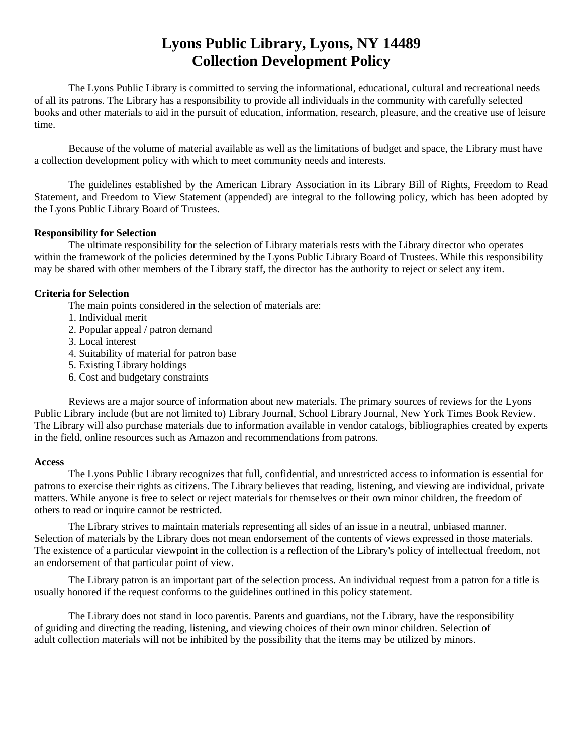# **Lyons Public Library, Lyons, NY 14489 Collection Development Policy**

The Lyons Public Library is committed to serving the informational, educational, cultural and recreational needs of all its patrons. The Library has a responsibility to provide all individuals in the community with carefully selected books and other materials to aid in the pursuit of education, information, research, pleasure, and the creative use of leisure time.

Because of the volume of material available as well as the limitations of budget and space, the Library must have a collection development policy with which to meet community needs and interests.

The guidelines established by the American Library Association in its Library Bill of Rights, Freedom to Read Statement, and Freedom to View Statement (appended) are integral to the following policy, which has been adopted by the Lyons Public Library Board of Trustees.

### **Responsibility for Selection**

The ultimate responsibility for the selection of Library materials rests with the Library director who operates within the framework of the policies determined by the Lyons Public Library Board of Trustees. While this responsibility may be shared with other members of the Library staff, the director has the authority to reject or select any item.

#### **Criteria for Selection**

The main points considered in the selection of materials are:

- 1. Individual merit
- 2. Popular appeal / patron demand
- 3. Local interest
- 4. Suitability of material for patron base
- 5. Existing Library holdings
- 6. Cost and budgetary constraints

Reviews are a major source of information about new materials. The primary sources of reviews for the Lyons Public Library include (but are not limited to) Library Journal, School Library Journal, New York Times Book Review. The Library will also purchase materials due to information available in vendor catalogs, bibliographies created by experts in the field, online resources such as Amazon and recommendations from patrons.

#### **Access**

The Lyons Public Library recognizes that full, confidential, and unrestricted access to information is essential for patrons to exercise their rights as citizens. The Library believes that reading, listening, and viewing are individual, private matters. While anyone is free to select or reject materials for themselves or their own minor children, the freedom of others to read or inquire cannot be restricted.

The Library strives to maintain materials representing all sides of an issue in a neutral, unbiased manner. Selection of materials by the Library does not mean endorsement of the contents of views expressed in those materials. The existence of a particular viewpoint in the collection is a reflection of the Library's policy of intellectual freedom, not an endorsement of that particular point of view.

The Library patron is an important part of the selection process. An individual request from a patron for a title is usually honored if the request conforms to the guidelines outlined in this policy statement.

The Library does not stand in loco parentis. Parents and guardians, not the Library, have the responsibility of guiding and directing the reading, listening, and viewing choices of their own minor children. Selection of adult collection materials will not be inhibited by the possibility that the items may be utilized by minors.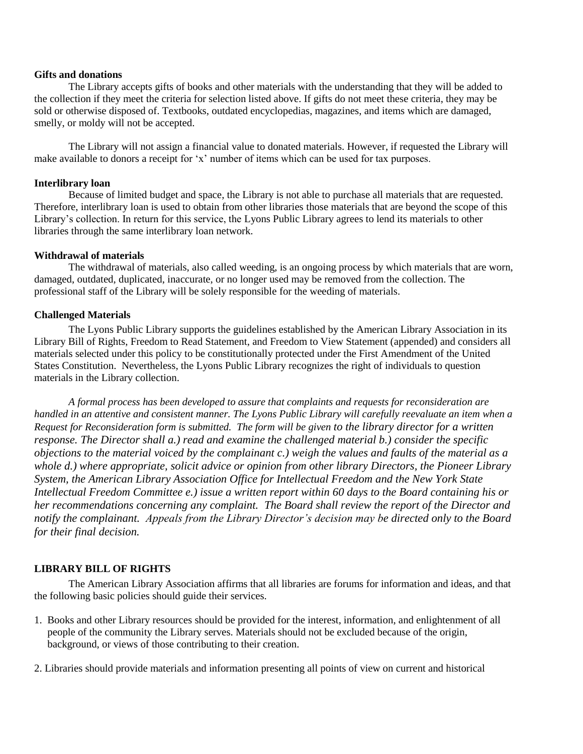#### **Gifts and donations**

The Library accepts gifts of books and other materials with the understanding that they will be added to the collection if they meet the criteria for selection listed above. If gifts do not meet these criteria, they may be sold or otherwise disposed of. Textbooks, outdated encyclopedias, magazines, and items which are damaged, smelly, or moldy will not be accepted.

The Library will not assign a financial value to donated materials. However, if requested the Library will make available to donors a receipt for 'x' number of items which can be used for tax purposes.

### **Interlibrary loan**

Because of limited budget and space, the Library is not able to purchase all materials that are requested. Therefore, interlibrary loan is used to obtain from other libraries those materials that are beyond the scope of this Library's collection. In return for this service, the Lyons Public Library agrees to lend its materials to other libraries through the same interlibrary loan network.

## **Withdrawal of materials**

The withdrawal of materials, also called weeding, is an ongoing process by which materials that are worn, damaged, outdated, duplicated, inaccurate, or no longer used may be removed from the collection. The professional staff of the Library will be solely responsible for the weeding of materials.

## **Challenged Materials**

The Lyons Public Library supports the guidelines established by the American Library Association in its Library Bill of Rights, Freedom to Read Statement, and Freedom to View Statement (appended) and considers all materials selected under this policy to be constitutionally protected under the First Amendment of the United States Constitution. Nevertheless, the Lyons Public Library recognizes the right of individuals to question materials in the Library collection.

*A formal process has been developed to assure that complaints and requests for reconsideration are handled in an attentive and consistent manner. The Lyons Public Library will carefully reevaluate an item when a Request for Reconsideration form is submitted. The form will be given to the library director for a written response. The Director shall a.) read and examine the challenged material b.) consider the specific objections to the material voiced by the complainant c.) weigh the values and faults of the material as a whole d.) where appropriate, solicit advice or opinion from other library Directors, the Pioneer Library System, the American Library Association Office for Intellectual Freedom and the New York State Intellectual Freedom Committee e.) issue a written report within 60 days to the Board containing his or her recommendations concerning any complaint. The Board shall review the report of the Director and notify the complainant. Appeals from the Library Director's decision may be directed only to the Board for their final decision.* 

# **LIBRARY BILL OF RIGHTS**

The American Library Association affirms that all libraries are forums for information and ideas, and that the following basic policies should guide their services.

1. Books and other Library resources should be provided for the interest, information, and enlightenment of all people of the community the Library serves. Materials should not be excluded because of the origin, background, or views of those contributing to their creation.

2. Libraries should provide materials and information presenting all points of view on current and historical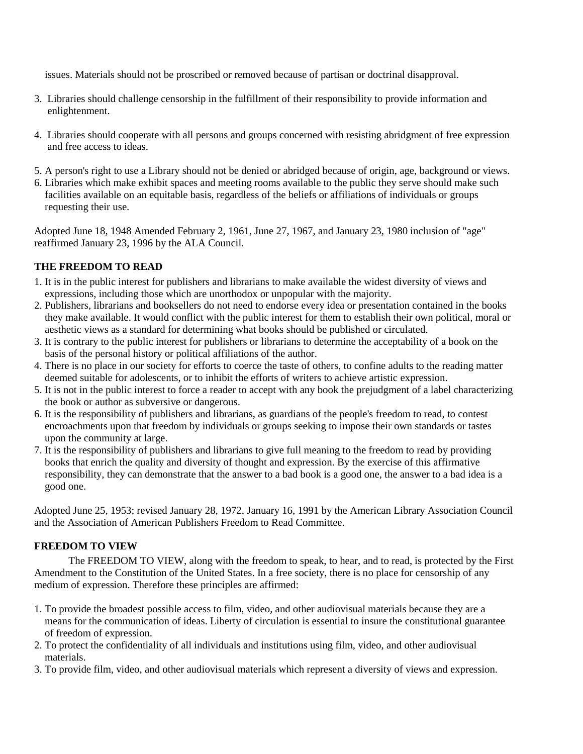issues. Materials should not be proscribed or removed because of partisan or doctrinal disapproval.

- 3. Libraries should challenge censorship in the fulfillment of their responsibility to provide information and enlightenment.
- 4. Libraries should cooperate with all persons and groups concerned with resisting abridgment of free expression and free access to ideas.
- 5. A person's right to use a Library should not be denied or abridged because of origin, age, background or views.
- 6. Libraries which make exhibit spaces and meeting rooms available to the public they serve should make such facilities available on an equitable basis, regardless of the beliefs or affiliations of individuals or groups requesting their use.

Adopted June 18, 1948 Amended February 2, 1961, June 27, 1967, and January 23, 1980 inclusion of "age" reaffirmed January 23, 1996 by the ALA Council.

# **THE FREEDOM TO READ**

- 1. It is in the public interest for publishers and librarians to make available the widest diversity of views and expressions, including those which are unorthodox or unpopular with the majority.
- 2. Publishers, librarians and booksellers do not need to endorse every idea or presentation contained in the books they make available. It would conflict with the public interest for them to establish their own political, moral or aesthetic views as a standard for determining what books should be published or circulated.
- 3. It is contrary to the public interest for publishers or librarians to determine the acceptability of a book on the basis of the personal history or political affiliations of the author.
- 4. There is no place in our society for efforts to coerce the taste of others, to confine adults to the reading matter deemed suitable for adolescents, or to inhibit the efforts of writers to achieve artistic expression.
- 5. It is not in the public interest to force a reader to accept with any book the prejudgment of a label characterizing the book or author as subversive or dangerous.
- 6. It is the responsibility of publishers and librarians, as guardians of the people's freedom to read, to contest encroachments upon that freedom by individuals or groups seeking to impose their own standards or tastes upon the community at large.
- 7. It is the responsibility of publishers and librarians to give full meaning to the freedom to read by providing books that enrich the quality and diversity of thought and expression. By the exercise of this affirmative responsibility, they can demonstrate that the answer to a bad book is a good one, the answer to a bad idea is a good one.

Adopted June 25, 1953; revised January 28, 1972, January 16, 1991 by the American Library Association Council and the Association of American Publishers Freedom to Read Committee.

# **FREEDOM TO VIEW**

The FREEDOM TO VIEW, along with the freedom to speak, to hear, and to read, is protected by the First Amendment to the Constitution of the United States. In a free society, there is no place for censorship of any medium of expression. Therefore these principles are affirmed:

- 1. To provide the broadest possible access to film, video, and other audiovisual materials because they are a means for the communication of ideas. Liberty of circulation is essential to insure the constitutional guarantee of freedom of expression.
- 2. To protect the confidentiality of all individuals and institutions using film, video, and other audiovisual materials.
- 3. To provide film, video, and other audiovisual materials which represent a diversity of views and expression.